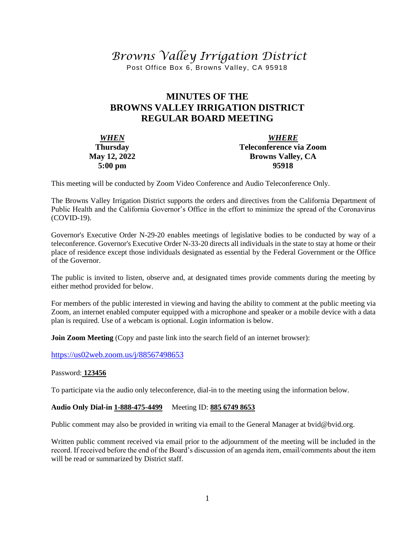# *Browns Valley Irrigation District*

Post Office Box 6, Browns Valley, CA 95918

## **MINUTES OF THE BROWNS VALLEY IRRIGATION DISTRICT REGULAR BOARD MEETING**

| <b>WHEN</b>         | <b>WHERE</b>             |  |  |
|---------------------|--------------------------|--|--|
| <b>Thursday</b>     | Teleconference via Zoom  |  |  |
| <b>May 12, 2022</b> | <b>Browns Valley, CA</b> |  |  |
| $5:00 \text{ pm}$   | 95918                    |  |  |

This meeting will be conducted by Zoom Video Conference and Audio Teleconference Only.

The Browns Valley Irrigation District supports the orders and directives from the California Department of Public Health and the California Governor's Office in the effort to minimize the spread of the Coronavirus (COVID-19).

Governor's Executive Order N-29-20 enables meetings of legislative bodies to be conducted by way of a teleconference. Governor's Executive Order N-33-20 directs all individuals in the state to stay at home or their place of residence except those individuals designated as essential by the Federal Government or the Office of the Governor.

The public is invited to listen, observe and, at designated times provide comments during the meeting by either method provided for below.

For members of the public interested in viewing and having the ability to comment at the public meeting via Zoom, an internet enabled computer equipped with a microphone and speaker or a mobile device with a data plan is required. Use of a webcam is optional. Login information is below.

**Join Zoom Meeting** (Copy and paste link into the search field of an internet browser):

[https://us02web.zoom.us/j/88](https://us02web.zoom.us/j/8)567498653

#### Password: **123456**

To participate via the audio only teleconference, dial-in to the meeting using the information below.

#### **Audio Only Dial-in 1-888-475-4499** Meeting ID: **885 6749 8653**

Public comment may also be provided in writing via email to the General Manager at bvid@bvid.org.

Written public comment received via email prior to the adjournment of the meeting will be included in the record. If received before the end of the Board's discussion of an agenda item, email/comments about the item will be read or summarized by District staff.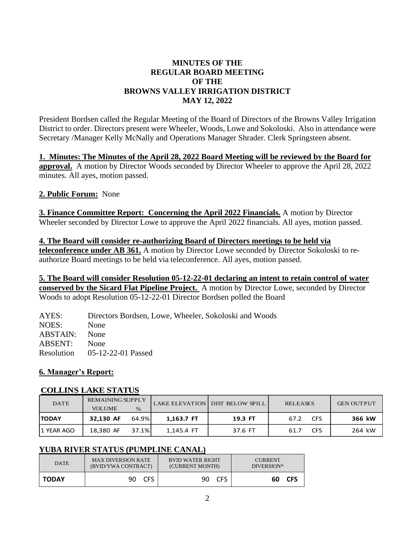## **MINUTES OF THE REGULAR BOARD MEETING OF THE BROWNS VALLEY IRRIGATION DISTRICT MAY 12, 2022**

President Bordsen called the Regular Meeting of the Board of Directors of the Browns Valley Irrigation District to order. Directors present were Wheeler, Woods, Lowe and Sokoloski. Also in attendance were Secretary /Manager Kelly McNally and Operations Manager Shrader. Clerk Springsteen absent.

## **1. Minutes: The Minutes of the April 28, 2022 Board Meeting will be reviewed by the Board for**

**approval.** A motion by Director Woods seconded by Director Wheeler to approve the April 28, 2022 minutes. All ayes, motion passed.

## **2. Public Forum:** None

**3. Finance Committee Report: Concerning the April 2022 Financials.** A motion by Director Wheeler seconded by Director Lowe to approve the April 2022 financials. All ayes, motion passed.

**4. The Board will consider re-authorizing Board of Directors meetings to be held via teleconference under AB 361.** A motion by Director Lowe seconded by Director Sokoloski to reauthorize Board meetings to be held via teleconference. All ayes, motion passed.

**5. The Board will consider Resolution 05-12-22-01 declaring an intent to retain control of water conserved by the Sicard Flat Pipeline Project.** A motion by Director Lowe, seconded by Director Woods to adopt Resolution 05-12-22-01 Director Bordsen polled the Board

AYES: Directors Bordsen, Lowe, Wheeler, Sokoloski and Woods NOES: None ABSTAIN: None ABSENT: None Resolution 05-12-22-01 Passed

## **6. Manager's Report:**

#### **COLLINS LAKE STATUS**

| <b>DATE</b>  | <b>REMAINING SUPPLY</b><br><b>VOLUME</b> | $\%$  |            | LAKE ELEVATION DIST BELOW SPILL | <b>RELEASES</b>    | <b>GEN OUTPUT</b> |
|--------------|------------------------------------------|-------|------------|---------------------------------|--------------------|-------------------|
| <b>TODAY</b> | 32.130 AF                                | 64.9% | 1.163.7 FT | 19.3 FT                         | <b>CFS</b><br>67.2 | 366 kW            |
| 11 YEAR AGO  | 18,380 AF                                | 37.1% | 1,145.4 FT | 37.6 FT                         | CFS<br>61.7        | 264 kW            |

## **YUBA RIVER STATUS (PUMPLINE CANAL)**

| <b>DATE</b>  | <b>MAX DIVERSION RATE</b> | <b>BVID WATER RIGHT</b> | <b>CURRENT</b>    |
|--------------|---------------------------|-------------------------|-------------------|
|              | (BVID/YWA CONTRACT)       | (CURRENT MONTH)         | DIVERSION*        |
| <b>TODAY</b> | 90 CFS                    | <b>CFS</b><br>90.       | <b>CFS</b><br>60. |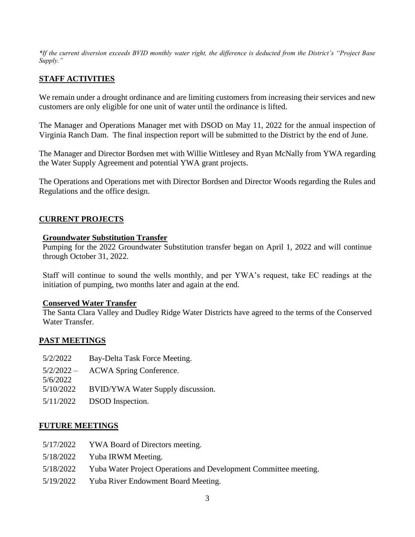*\*If the current diversion exceeds BVID monthly water right, the difference is deducted from the District's "Project Base Supply."*

## **STAFF ACTIVITIES**

We remain under a drought ordinance and are limiting customers from increasing their services and new customers are only eligible for one unit of water until the ordinance is lifted.

The Manager and Operations Manager met with DSOD on May 11, 2022 for the annual inspection of Virginia Ranch Dam. The final inspection report will be submitted to the District by the end of June.

The Manager and Director Bordsen met with Willie Wittlesey and Ryan McNally from YWA regarding the Water Supply Agreement and potential YWA grant projects.

The Operations and Operations met with Director Bordsen and Director Woods regarding the Rules and Regulations and the office design.

#### **CURRENT PROJECTS**

#### **Groundwater Substitution Transfer**

Pumping for the 2022 Groundwater Substitution transfer began on April 1, 2022 and will continue through October 31, 2022.

Staff will continue to sound the wells monthly, and per YWA's request, take EC readings at the initiation of pumping, two months later and again at the end.

#### **Conserved Water Transfer**

The Santa Clara Valley and Dudley Ridge Water Districts have agreed to the terms of the Conserved Water Transfer.

#### **PAST MEETINGS**

- 5/2/2022 Bay-Delta Task Force Meeting.  $5/2/2022 -$ 5/6/2022 ACWA Spring Conference. 5/10/2022 BVID/YWA Water Supply discussion.
- 5/11/2022 DSOD Inspection.

#### **FUTURE MEETINGS**

- 5/17/2022 YWA Board of Directors meeting.
- 5/18/2022 Yuba IRWM Meeting.
- 5/18/2022 Yuba Water Project Operations and Development Committee meeting.
- 5/19/2022 Yuba River Endowment Board Meeting.